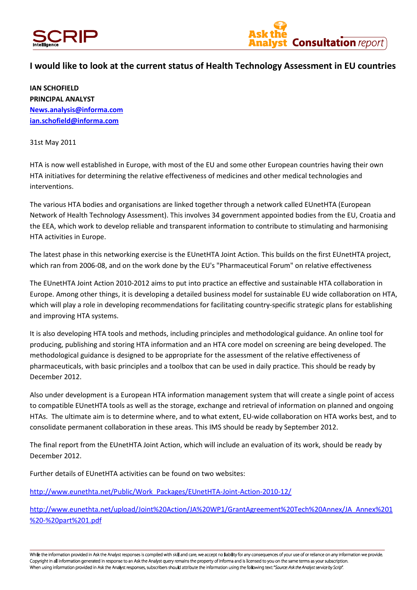



# I would like to look at the current status of Health Technology Assessment in EU countries

IAN SCHOFIELD PRINCIPAL ANALYST News.analysis@informa.com ian.schofield@informa.com

31st May 2011

HTA is now well established in Europe, with most of the EU and some other European countries having their own HTA initiatives for determining the relative effectiveness of medicines and other medical technologies and interventions.

The various HTA bodies and organisations are linked together through a network called EUnetHTA (European Network of Health Technology Assessment). This involves 34 government appointed bodies from the EU, Croatia and the EEA, which work to develop reliable and transparent information to contribute to stimulating and harmonising HTA activities in Europe.

The latest phase in this networking exercise is the EUnetHTA Joint Action. This builds on the first EUnetHTA project, which ran from 2006-08, and on the work done by the EU's "Pharmaceutical Forum" on relative effectiveness

The EUnetHTA Joint Action 2010-2012 aims to put into practice an effective and sustainable HTA collaboration in Europe. Among other things, it is developing a detailed business model for sustainable EU wide collaboration on HTA, which will play a role in developing recommendations for facilitating country-specific strategic plans for establishing and improving HTA systems.

It is also developing HTA tools and methods, including principles and methodological guidance. An online tool for producing, publishing and storing HTA information and an HTA core model on screening are being developed. The methodological guidance is designed to be appropriate for the assessment of the relative effectiveness of pharmaceuticals, with basic principles and a toolbox that can be used in daily practice. This should be ready by December 2012.

Also under development is a European HTA information management system that will create a single point of access to compatible EUnetHTA tools as well as the storage, exchange and retrieval of information on planned and ongoing HTAs. The ultimate aim is to determine where, and to what extent, EU-wide collaboration on HTA works best, and to consolidate permanent collaboration in these areas. This IMS should be ready by September 2012.

The final report from the EUnetHTA Joint Action, which will include an evaluation of its work, should be ready by December 2012.

Further details of EUnetHTA activities can be found on two websites:

http://www.eunethta.net/Public/Work\_Packages/EUnetHTA-Joint-Action-2010-12/

http://www.eunethta.net/upload/Joint%20Action/JA%20WP1/GrantAgreement%20Tech%20Annex/JA\_Annex%201 %20-%20part%201.pdf

While the information provided in Ask the Analyst responses is compiled with skill and care, we accept no liability for any consequences of your use of or reliance on any information we provide. Copyright in all information generated in response to an Ask the Analyst query remains the property of Informa and is licensed to you on the same terms as your subscription. When using information provided in Ask the Analyst responses, subscribers should attribute the information using the following text: "Source: Ask the Analyst service by Scrip".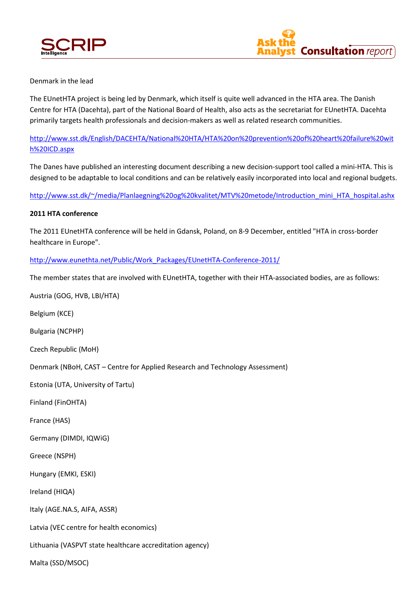



### Denmark in the lead

The EUnetHTA project is being led by Denmark, which itself is quite well advanced in the HTA area. The Danish Centre for HTA (Dacehta), part of the National Board of Health, also acts as the secretariat for EUnetHTA. Dacehta primarily targets health professionals and decision-makers as well as related research communities.

## http://www.sst.dk/English/DACEHTA/National%20HTA/HTA%20on%20prevention%20of%20heart%20failure%20wit h%20ICD.aspx

The Danes have published an interesting document describing a new decision-support tool called a mini-HTA. This is designed to be adaptable to local conditions and can be relatively easily incorporated into local and regional budgets.

http://www.sst.dk/~/media/Planlaegning%20og%20kvalitet/MTV%20metode/Introduction\_mini\_HTA\_hospital.ashx

#### 2011 HTA conference

The 2011 EUnetHTA conference will be held in Gdansk, Poland, on 8-9 December, entitled "HTA in cross-border healthcare in Europe".

http://www.eunethta.net/Public/Work\_Packages/EUnetHTA-Conference-2011/

The member states that are involved with EUnetHTA, together with their HTA-associated bodies, are as follows:

Austria (GOG, HVB, LBI/HTA)

Belgium (KCE)

Bulgaria (NCPHP)

Czech Republic (MoH)

Denmark (NBoH, CAST – Centre for Applied Research and Technology Assessment)

Estonia (UTA, University of Tartu)

Finland (FinOHTA)

France (HAS)

Germany (DIMDI, IQWiG)

Greece (NSPH)

Hungary (EMKI, ESKI)

Ireland (HIQA)

Italy (AGE.NA.S, AIFA, ASSR)

Latvia (VEC centre for health economics)

Lithuania (VASPVT state healthcare accreditation agency)

Malta (SSD/MSOC)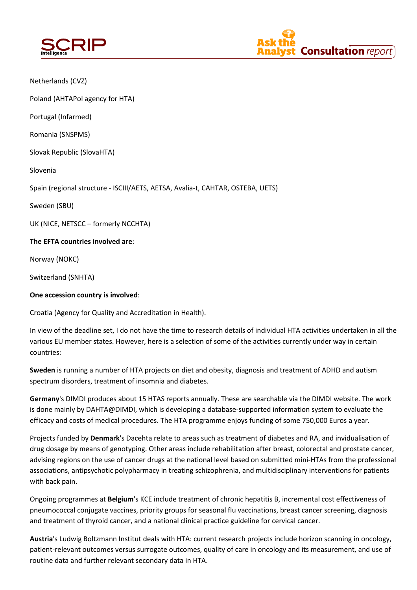



Netherlands (CVZ)

Poland (AHTAPol agency for HTA)

Portugal (Infarmed)

Romania (SNSPMS)

Slovak Republic (SlovaHTA)

Slovenia

Spain (regional structure - ISCIII/AETS, AETSA, Avalia-t, CAHTAR, OSTEBA, UETS)

Sweden (SBU)

UK (NICE, NETSCC – formerly NCCHTA)

#### The EFTA countries involved are:

Norway (NOKC)

Switzerland (SNHTA)

#### One accession country is involved:

Croatia (Agency for Quality and Accreditation in Health).

In view of the deadline set, I do not have the time to research details of individual HTA activities undertaken in all the various EU member states. However, here is a selection of some of the activities currently under way in certain countries:

Sweden is running a number of HTA projects on diet and obesity, diagnosis and treatment of ADHD and autism spectrum disorders, treatment of insomnia and diabetes.

Germany's DIMDI produces about 15 HTAS reports annually. These are searchable via the DIMDI website. The work is done mainly by DAHTA@DIMDI, which is developing a database-supported information system to evaluate the efficacy and costs of medical procedures. The HTA programme enjoys funding of some 750,000 Euros a year.

Projects funded by Denmark's Dacehta relate to areas such as treatment of diabetes and RA, and invidualisation of drug dosage by means of genotyping. Other areas include rehabilitation after breast, colorectal and prostate cancer, advising regions on the use of cancer drugs at the national level based on submitted mini-HTAs from the professional associations, antipsychotic polypharmacy in treating schizophrenia, and multidisciplinary interventions for patients with back pain.

Ongoing programmes at Belgium's KCE include treatment of chronic hepatitis B, incremental cost effectiveness of pneumococcal conjugate vaccines, priority groups for seasonal flu vaccinations, breast cancer screening, diagnosis and treatment of thyroid cancer, and a national clinical practice guideline for cervical cancer.

Austria's Ludwig Boltzmann Institut deals with HTA: current research projects include horizon scanning in oncology, patient-relevant outcomes versus surrogate outcomes, quality of care in oncology and its measurement, and use of routine data and further relevant secondary data in HTA.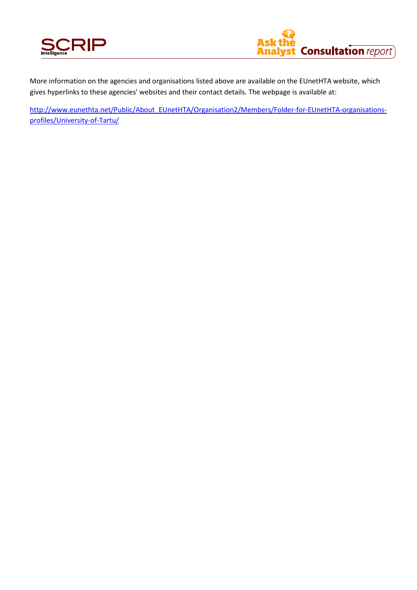



More information on the agencies and organisations listed above are available on the EUnetHTA website, which gives hyperlinks to these agencies' websites and their contact details. The webpage is available at:

http://www.eunethta.net/Public/About\_EUnetHTA/Organisation2/Members/Folder-for-EUnetHTA-organisationsprofiles/University-of-Tartu/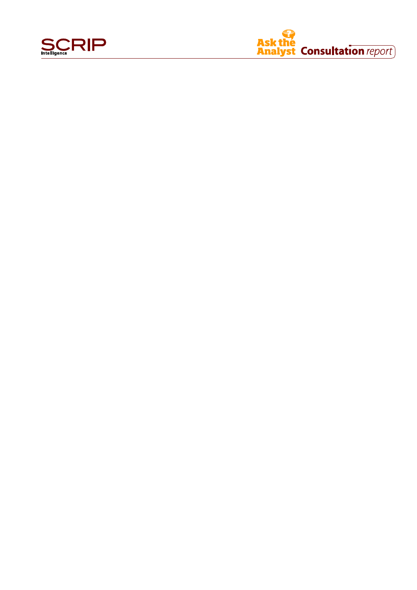